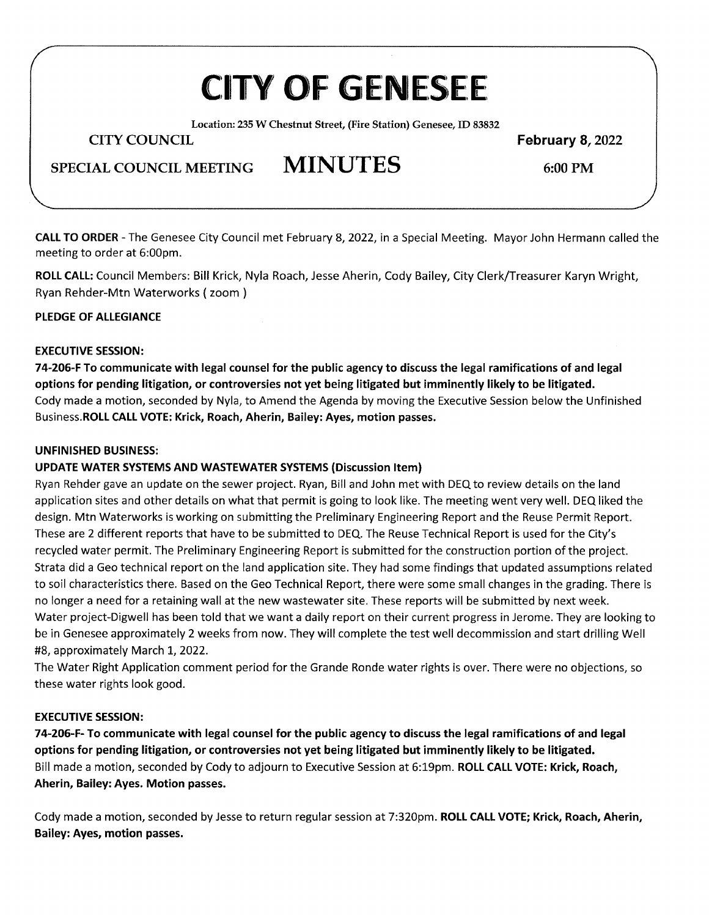# **CITY** OF GENESEE

**Location: 235 W Chestnut Street,** (Fire **Station) Genesee, ID 83832** 

**CITY COUNCIL February 8, 2022** 

**SPECIAL COUNCIL MEETING MINUTES 6:00 PM** 

**CALL TO ORDER -** The Genesee City Council met February 8, 2022, in a Special Meeting. Mayor John Hermann called the meeting to order at 6:00pm.

**ROLL CALL:** Council Members: Bill Krick, Nyla Roach, Jesse Aherin, Cody Bailey, City Clerk/Treasurer Karyn Wright, Ryan Rehder-Mtn Waterworks ( zoom )

### **PLEDGE OF ALLEGIANCE**

### **EXECUTIVE SESSION:**

**74-206-F To communicate with legal counsel for the public agency to discuss the legal ramifications of and legal options for pending litigation, or controversies not yet being litigated but imminently likely to be litigated.**  Cody made a motion, seconded by Nyla, to Amend the Agenda by moving the Executive Session below the Unfinished Business.ROLL **CALL VOTE: Krick, Roach, Aherin, Bailey: Ayes, motion passes.** 

#### **UNFINISHED BUSINESS:**

## **UPDATE WATER SYSTEMS AND WASTEWATER SYSTEMS (Discussion Item)**

Ryan Rehder gave an update on the sewer project. Ryan, Bill and John met with DEQ to review details on the land application sites and other details on what that permit is going to look like. The meeting went very well. DEQ liked the design. Mtn Waterworks is working on submitting the Preliminary Engineering Report and the Reuse Permit Report. These are 2 different reports that have to be submitted to DEQ. The Reuse Technical Report is used for the City's recycled water permit. The Preliminary Engineering Report is submitted for the construction portion of the project. Strata did a Geo technical report on the land application site. They had some findings that updated assumptions related to soil characteristics there. Based on the Geo Technical Report, there were some small changes in the grading. There is no longer a need for a retaining wall at the new wastewater site. These reports will be submitted by next week. Water project-Digwell has been told that we want a daily report on their current progress in Jerome. They are looking to be in Genesee approximately 2 weeks from now. They will complete the test well decommission and start drilling Well #8, approximately March 1, 2022.

The Water Right Application comment period for the Grande Ronde water rights is over. There were no objections, so these water rights look good.

#### **EXECUTIVE SESSION:**

**74-206-F- To communicate with legal counsel for the public agency to discuss the legal ramifications of and legal options for pending litigation, or controversies not yet being litigated but imminently likely to be litigated.**  Bill made a motion, seconded by Cody to adjourn to Executive Session at 6:19pm. **ROLL CALL VOTE: Krick, Roach, Aherin, Bailey: Ayes. Motion passes.** 

Cody made a motion, seconded by Jesse to return regular session at 7:320pm. **ROLL CALL VOTE; Krick, Roach, Aherin, Bailey: Ayes, motion passes.**